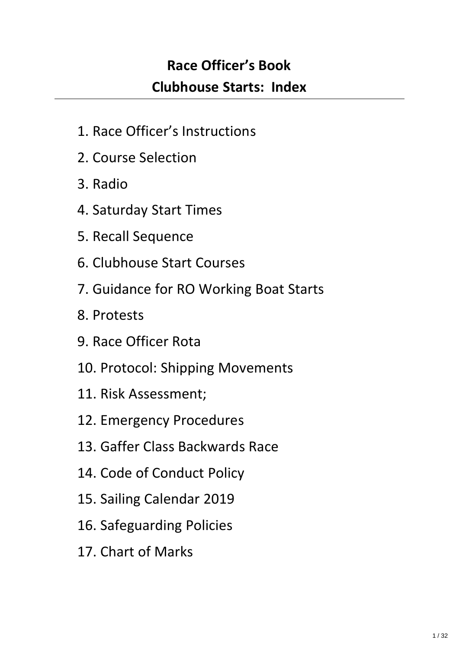# **Race Officer's Book Clubhouse Starts: Index**

- 1. Race Officer's Instructions
- 2. Course Selection
- 3. Radio
- 4. Saturday Start Times
- 5. Recall Sequence
- 6. Clubhouse Start Courses
- 7. Guidance for RO Working Boat Starts
- 8. Protests
- 9. Race Officer Rota
- 10. Protocol: Shipping Movements
- 11. Risk Assessment;
- 12. Emergency Procedures
- 13. Gaffer Class Backwards Race
- 14. Code of Conduct Policy
- 15. Sailing Calendar 2019
- 16. Safeguarding Policies
- 17. Chart of Marks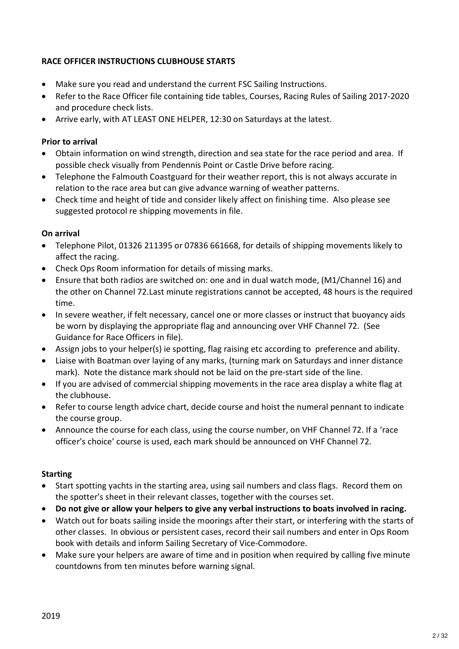### **RACE OFFICER INSTRUCTIONS CLUBHOUSE STARTS**

- · Make sure you read and understand the current FSC Sailing Instructions.
- · Refer to the Race Officer file containing tide tables, Courses, Racing Rules of Sailing 2017-2020 and procedure check lists.
- · Arrive early, with AT LEAST ONE HELPER, 12:30 on Saturdays at the latest.

### **Prior to arrival**

- · Obtain information on wind strength, direction and sea state for the race period and area. If possible check visually from Pendennis Point or Castle Drive before racing.
- · Telephone the Falmouth Coastguard for their weather report, this is not always accurate in relation to the race area but can give advance warning of weather patterns.
- · Check time and height of tide and consider likely affect on finishing time. Also please see suggested protocol re shipping movements in file.

#### **On arrival**

- · Telephone Pilot, 01326 211395 or 07836 661668, for details of shipping movements likely to affect the racing.
- · Check Ops Room information for details of missing marks.
- · Ensure that both radios are switched on: one and in dual watch mode, (M1/Channel 16) and the other on Channel 72.Last minute registrations cannot be accepted, 48 hours is the required time.
- · In severe weather, if felt necessary, cancel one or more classes or instruct that buoyancy aids be worn by displaying the appropriate flag and announcing over VHF Channel 72. (See Guidance for Race Officers in file).
- · Assign jobs to your helper(s) ie spotting, flag raising etc according to preference and ability.
- · Liaise with Boatman over laying of any marks, (turning mark on Saturdays and inner distance mark). Note the distance mark should not be laid on the pre-start side of the line.
- · If you are advised of commercial shipping movements in the race area display a white flag at the clubhouse.
- · Refer to course length advice chart, decide course and hoist the numeral pennant to indicate the course group.
- · Announce the course for each class, using the course number, on VHF Channel 72. If a 'race officer's choice' course is used, each mark should be announced on VHF Channel 72.

#### **Starting**

- · Start spotting yachts in the starting area, using sail numbers and class flags. Record them on the spotter's sheet in their relevant classes, together with the courses set.
- · **Do not give or allow your helpers to give any verbal instructions to boats involved in racing.**
- · Watch out for boats sailing inside the moorings after their start, or interfering with the starts of other classes. In obvious or persistent cases, record their sail numbers and enter in Ops Room book with details and inform Sailing Secretary of Vice-Commodore.
- Make sure your helpers are aware of time and in position when required by calling five minute countdowns from ten minutes before warning signal.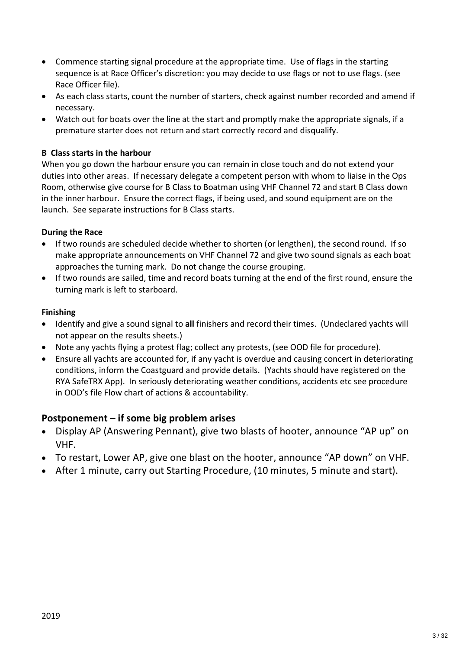- · Commence starting signal procedure at the appropriate time. Use of flags in the starting sequence is at Race Officer's discretion: you may decide to use flags or not to use flags. (see Race Officer file).
- · As each class starts, count the number of starters, check against number recorded and amend if necessary.
- · Watch out for boats over the line at the start and promptly make the appropriate signals, if a premature starter does not return and start correctly record and disqualify.

### **B Class starts in the harbour**

When you go down the harbour ensure you can remain in close touch and do not extend your duties into other areas. If necessary delegate a competent person with whom to liaise in the Ops Room, otherwise give course for B Class to Boatman using VHF Channel 72 and start B Class down in the inner harbour. Ensure the correct flags, if being used, and sound equipment are on the launch. See separate instructions for B Class starts.

#### **During the Race**

- · If two rounds are scheduled decide whether to shorten (or lengthen), the second round. If so make appropriate announcements on VHF Channel 72 and give two sound signals as each boat approaches the turning mark. Do not change the course grouping.
- · If two rounds are sailed, time and record boats turning at the end of the first round, ensure the turning mark is left to starboard.

#### **Finishing**

- · Identify and give a sound signal to **all** finishers and record their times. (Undeclared yachts will not appear on the results sheets.)
- · Note any yachts flying a protest flag; collect any protests, (see OOD file for procedure).
- · Ensure all yachts are accounted for, if any yacht is overdue and causing concert in deteriorating conditions, inform the Coastguard and provide details. (Yachts should have registered on the RYA SafeTRX App). In seriously deteriorating weather conditions, accidents etc see procedure in OOD's file Flow chart of actions & accountability.

## **Postponement – if some big problem arises**

- · Display AP (Answering Pennant), give two blasts of hooter, announce "AP up" on VHF.
- · To restart, Lower AP, give one blast on the hooter, announce "AP down" on VHF.
- · After 1 minute, carry out Starting Procedure, (10 minutes, 5 minute and start).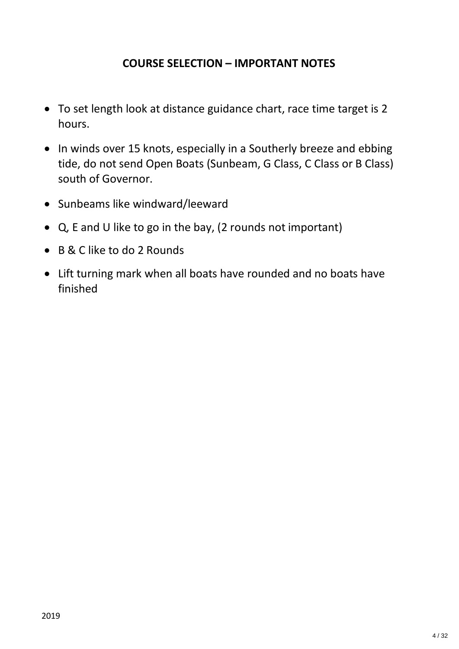# **COURSE SELECTION – IMPORTANT NOTES**

- · To set length look at distance guidance chart, race time target is 2 hours.
- · In winds over 15 knots, especially in a Southerly breeze and ebbing tide, do not send Open Boats (Sunbeam, G Class, C Class or B Class) south of Governor.
- · Sunbeams like windward/leeward
- · Q, E and U like to go in the bay, (2 rounds not important)
- · B & C like to do 2 Rounds
- · Lift turning mark when all boats have rounded and no boats have finished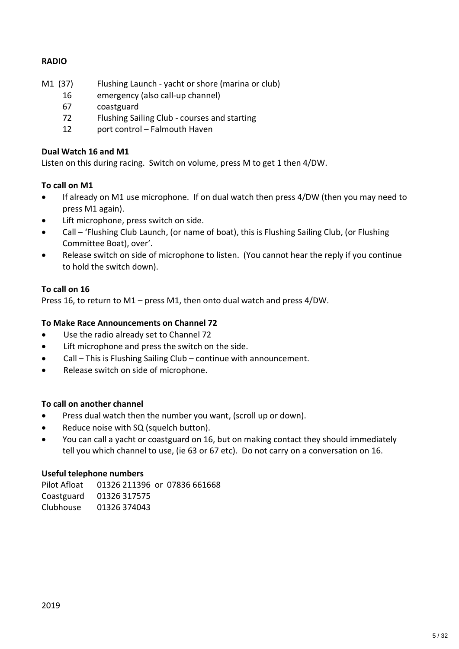### **RADIO**

- M1 (37) Flushing Launch yacht or shore (marina or club)
	- 16 emergency (also call-up channel)
	- 67 coastguard
	- 72 Flushing Sailing Club courses and starting
	- 12 port control Falmouth Haven

#### **Dual Watch 16 and M1**

Listen on this during racing. Switch on volume, press M to get 1 then 4/DW.

#### **To call on M1**

- · If already on M1 use microphone. If on dual watch then press 4/DW (then you may need to press M1 again).
- Lift microphone, press switch on side.
- · Call 'Flushing Club Launch, (or name of boat), this is Flushing Sailing Club, (or Flushing Committee Boat), over'.
- Release switch on side of microphone to listen. (You cannot hear the reply if you continue to hold the switch down).

#### **To call on 16**

Press 16, to return to M1 – press M1, then onto dual watch and press 4/DW.

#### **To Make Race Announcements on Channel 72**

- · Use the radio already set to Channel 72
- · Lift microphone and press the switch on the side.
- · Call This is Flushing Sailing Club continue with announcement.
- · Release switch on side of microphone.

#### **To call on another channel**

- Press dual watch then the number you want, (scroll up or down).
- · Reduce noise with SQ (squelch button).
- · You can call a yacht or coastguard on 16, but on making contact they should immediately tell you which channel to use, (ie 63 or 67 etc). Do not carry on a conversation on 16.

#### **Useful telephone numbers**

Pilot Afloat 01326 211396 or 07836 661668 Coastguard 01326 317575 Clubhouse 01326 374043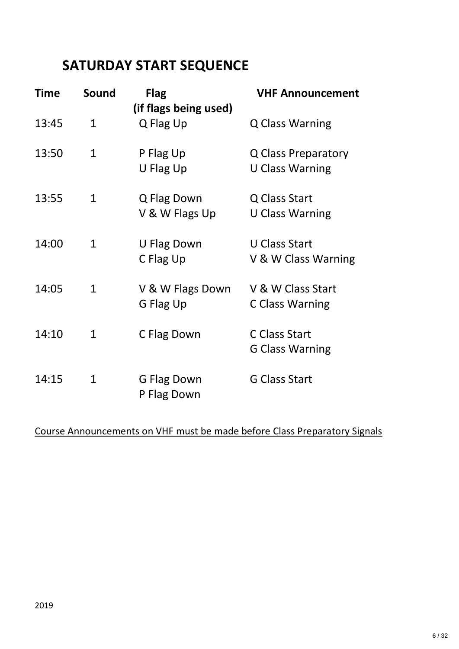# **SATURDAY START SEQUENCE**

| <b>Time</b> | Sound        | <b>Flag</b><br>(if flags being used) | <b>VHF Announcement</b>                       |
|-------------|--------------|--------------------------------------|-----------------------------------------------|
| 13:45       | $\mathbf{1}$ | Q Flag Up                            | <b>Q Class Warning</b>                        |
| 13:50       | $\mathbf{1}$ | P Flag Up<br>U Flag Up               | Q Class Preparatory<br><b>U Class Warning</b> |
|             |              |                                      |                                               |
| 13:55       | $\mathbf{1}$ | Q Flag Down                          | Q Class Start                                 |
|             |              | V & W Flags Up                       | <b>U Class Warning</b>                        |
| 14:00       | $\mathbf{1}$ | U Flag Down                          | <b>U Class Start</b>                          |
|             |              | C Flag Up                            | V & W Class Warning                           |
| 14:05       | $\mathbf{1}$ | V & W Flags Down                     | V & W Class Start                             |
|             |              | G Flag Up                            | C Class Warning                               |
| 14:10       | $\mathbf{1}$ | C Flag Down                          | C Class Start                                 |
|             |              |                                      | <b>G Class Warning</b>                        |
| 14:15       | 1            | G Flag Down                          | <b>G Class Start</b>                          |
|             |              | P Flag Down                          |                                               |

## Course Announcements on VHF must be made before Class Preparatory Signals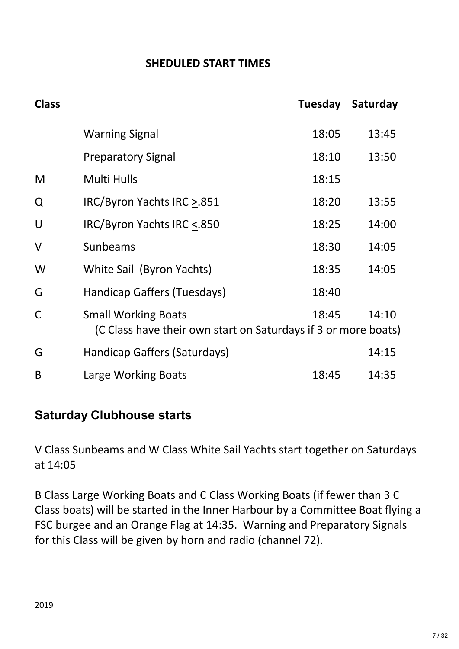# **SHEDULED START TIMES**

| <b>Class</b> |                                                                                              |       | Tuesday Saturday |
|--------------|----------------------------------------------------------------------------------------------|-------|------------------|
|              | <b>Warning Signal</b>                                                                        | 18:05 | 13:45            |
|              | <b>Preparatory Signal</b>                                                                    | 18:10 | 13:50            |
| M            | <b>Multi Hulls</b>                                                                           | 18:15 |                  |
| Q            | IRC/Byron Yachts IRC > 851                                                                   | 18:20 | 13:55            |
| U            | IRC/Byron Yachts IRC <.850                                                                   | 18:25 | 14:00            |
| $\vee$       | Sunbeams                                                                                     | 18:30 | 14:05            |
| W            | White Sail (Byron Yachts)                                                                    | 18:35 | 14:05            |
| G            | Handicap Gaffers (Tuesdays)                                                                  | 18:40 |                  |
| $\mathsf{C}$ | <b>Small Working Boats</b><br>(C Class have their own start on Saturdays if 3 or more boats) | 18:45 | 14:10            |
| G            | Handicap Gaffers (Saturdays)                                                                 |       | 14:15            |
| B            | Large Working Boats                                                                          | 18:45 | 14:35            |

# **Saturday Clubhouse starts**

V Class Sunbeams and W Class White Sail Yachts start together on Saturdays at 14:05

B Class Large Working Boats and C Class Working Boats (if fewer than 3 C Class boats) will be started in the Inner Harbour by a Committee Boat flying a FSC burgee and an Orange Flag at 14:35. Warning and Preparatory Signals for this Class will be given by horn and radio (channel 72).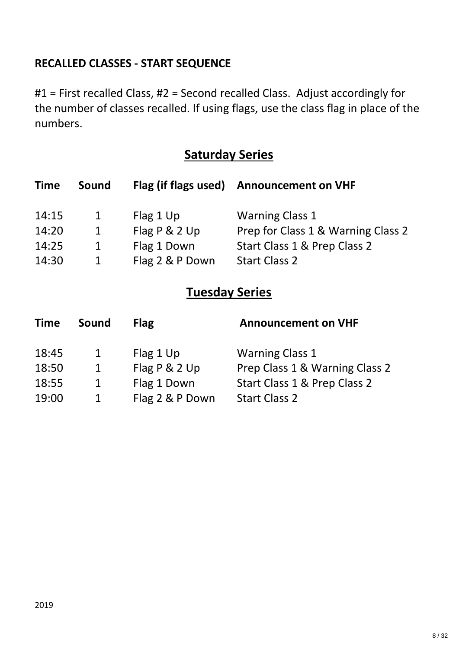# **RECALLED CLASSES - START SEQUENCE**

#1 = First recalled Class, #2 = Second recalled Class. Adjust accordingly for the number of classes recalled. If using flags, use the class flag in place of the numbers.

# **Saturday Series**

| <b>Time</b> | Sound | Flag (if flags used) | <b>Announcement on VHF</b>         |
|-------------|-------|----------------------|------------------------------------|
| 14:15       | 1     | Flag 1 Up            | <b>Warning Class 1</b>             |
| 14:20       | 1     | Flag P & 2 Up        | Prep for Class 1 & Warning Class 2 |
| 14:25       | 1     | Flag 1 Down          | Start Class 1 & Prep Class 2       |
| 14:30       | 1     | Flag 2 & P Down      | <b>Start Class 2</b>               |

# **Tuesday Series**

| <b>Time</b> | <b>Sound</b> | <b>Flag</b>     | <b>Announcement on VHF</b>     |
|-------------|--------------|-----------------|--------------------------------|
| 18:45       | $\mathbf{1}$ | Flag 1 Up       | <b>Warning Class 1</b>         |
| 18:50       | $\mathbf{1}$ | Flag P & 2 Up   | Prep Class 1 & Warning Class 2 |
| 18:55       | $\mathbf{1}$ | Flag 1 Down     | Start Class 1 & Prep Class 2   |
| 19:00       |              | Flag 2 & P Down | <b>Start Class 2</b>           |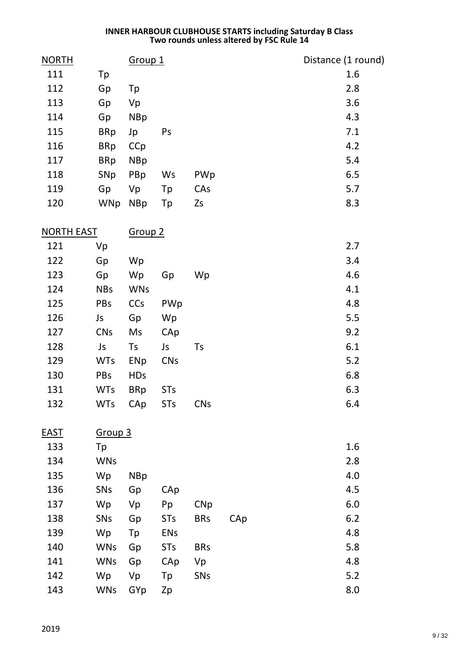#### **INNER HARBOUR CLUBHOUSE STARTS including Saturday B Class Two rounds unless altered by FSC Rule 14**

| <b>NORTH</b>      |                    | Group <sub>1</sub> |            |            |     | Distance (1 round) |
|-------------------|--------------------|--------------------|------------|------------|-----|--------------------|
| 111               | Tp                 |                    |            |            |     | 1.6                |
| 112               | Gp                 | Tp                 |            |            |     | 2.8                |
| 113               | Gp                 | Vp                 |            |            |     | 3.6                |
| 114               | Gp                 | <b>NBp</b>         |            |            |     | 4.3                |
| 115               | <b>BRp</b>         | Jp                 | Ps         |            |     | 7.1                |
| 116               | <b>BRp</b>         | CCp                |            |            |     | 4.2                |
| 117               | <b>BRp</b>         | <b>NBp</b>         |            |            |     | 5.4                |
| 118               | SNp                | PBp                | Ws         | PWp        |     | 6.5                |
| 119               | Gp                 | Vp                 | Tp         | CAs        |     | 5.7                |
| 120               | <b>WNp</b>         | <b>NBp</b>         | Tp         | Zs         |     | 8.3                |
| <b>NORTH EAST</b> |                    | Group <sub>2</sub> |            |            |     |                    |
| 121               | Vp                 |                    |            |            |     | 2.7                |
| 122               | Gp                 | Wp                 |            |            |     | 3.4                |
| 123               | Gp                 | Wp                 | Gp         | Wp         |     | 4.6                |
| 124               | <b>NBs</b>         | <b>WNs</b>         |            |            |     | 4.1                |
| 125               | PBs                | CCs                | PWp        |            |     | 4.8                |
| 126               | Js                 | Gp                 | Wp         |            |     | 5.5                |
| 127               | <b>CNs</b>         | Ms                 | CAp        |            |     | 9.2                |
| 128               | Js                 | Ts                 | Js         | Ts         |     | 6.1                |
| 129               | <b>WTs</b>         | ENp                | <b>CNs</b> |            |     | 5.2                |
| 130               | PBs                | <b>HDs</b>         |            |            |     | 6.8                |
| 131               | <b>WTs</b>         | <b>BRp</b>         | <b>STs</b> |            |     | 6.3                |
| 132               | <b>WTs</b>         | CAp                | <b>STs</b> | <b>CNs</b> |     | 6.4                |
| <b>EAST</b>       | Group <sub>3</sub> |                    |            |            |     |                    |
| 133               | Tp                 |                    |            |            |     | 1.6                |
| 134               | <b>WNs</b>         |                    |            |            |     | 2.8                |
| 135               | Wp                 | <b>NBp</b>         |            |            |     | 4.0                |
| 136               | SNs                | Gp                 | CAp        |            |     | 4.5                |
| 137               | Wp                 | Vp                 | Pp         | C N p      |     | 6.0                |
| 138               | SNs                | Gp                 | <b>STs</b> | <b>BRs</b> | CAp | $6.2$              |
| 139               | Wp                 | Tp                 | <b>ENs</b> |            |     | 4.8                |
| 140               | <b>WNs</b>         | Gp                 | <b>STs</b> | <b>BRs</b> |     | 5.8                |
| 141               | <b>WNs</b>         | Gp                 | CAp        | Vp         |     | 4.8                |
| 142               | Wp                 | Vp                 | Tp         | SNs        |     | 5.2                |
| 143               | <b>WNs</b>         | GYp                | Zp         |            |     | 8.0                |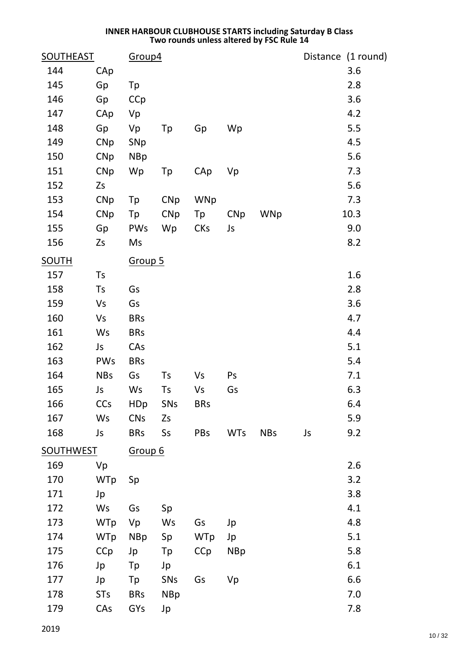#### **INNER HARBOUR CLUBHOUSE STARTS including Saturday B Class Two rounds unless altered by FSC Rule 14**

| <b>SOUTHEAST</b> |            | Group4     |            |            |            |            |    | Distance (1 round) |
|------------------|------------|------------|------------|------------|------------|------------|----|--------------------|
| 144              | CAp        |            |            |            |            |            |    | 3.6                |
| 145              | Gp         | Tp         |            |            |            |            |    | 2.8                |
| 146              | Gp         | CCp        |            |            |            |            |    | 3.6                |
| 147              | CAp        | Vp         |            |            |            |            |    | 4.2                |
| 148              | Gp         | Vp         | Tp         | Gp         | Wp         |            |    | 5.5                |
| 149              | <b>CNp</b> | SNp        |            |            |            |            |    | 4.5                |
| 150              | <b>CNp</b> | <b>NBp</b> |            |            |            |            |    | 5.6                |
| 151              | <b>CNp</b> | Wp         | Tp         | CAp        | Vp         |            |    | 7.3                |
| 152              | Zs         |            |            |            |            |            |    | 5.6                |
| 153              | <b>CNp</b> | Tp         | <b>CNp</b> | <b>WNp</b> |            |            |    | 7.3                |
| 154              | <b>CNp</b> | Tp         | <b>CNp</b> | Tp         | <b>CNp</b> | <b>WNp</b> |    | 10.3               |
| 155              | Gp         | PWs        | Wp         | <b>CKs</b> | Js         |            |    | 9.0                |
| 156              | Zs         | Ms         |            |            |            |            |    | 8.2                |
| <b>SOUTH</b>     |            | Group 5    |            |            |            |            |    |                    |
| 157              | Ts         |            |            |            |            |            |    | 1.6                |
| 158              | Ts         | Gs         |            |            |            |            |    | 2.8                |
| 159              | Vs         | Gs         |            |            |            |            |    | 3.6                |
| 160              | Vs         | <b>BRs</b> |            |            |            |            |    | 4.7                |
| 161              | Ws         | <b>BRs</b> |            |            |            |            |    | 4.4                |
| 162              | Js         | CAs        |            |            |            |            |    | 5.1                |
| 163              | <b>PWs</b> | <b>BRs</b> |            |            |            |            |    | 5.4                |
| 164              | <b>NBs</b> | Gs         | Ts         | <b>Vs</b>  | Ps         |            |    | 7.1                |
| 165              | Js         | Ws         | Ts         | Vs         | Gs         |            |    | 6.3                |
| 166              | CCs        | <b>HDp</b> | SNs        | <b>BRs</b> |            |            |    | 6.4                |
| 167              | Ws         | <b>CNs</b> | Zs         |            |            |            |    | 5.9                |
| 168              | Js         | <b>BRs</b> | Ss         | PBs        | <b>WTs</b> | <b>NBs</b> | Js | 9.2                |
| <b>SOUTHWEST</b> |            | Group 6    |            |            |            |            |    |                    |
| 169              | Vp         |            |            |            |            |            |    | 2.6                |
| 170              | <b>WTp</b> | Sp         |            |            |            |            |    | 3.2                |
| 171              | Jp         |            |            |            |            |            |    | 3.8                |
| 172              | Ws         | Gs         | Sp         |            |            |            |    | 4.1                |
| 173              | <b>WTp</b> | Vp         | Ws         | Gs         | Jp         |            |    | 4.8                |
| 174              | <b>WTp</b> | <b>NBp</b> | Sp         | <b>WTp</b> | Jp         |            |    | 5.1                |
| 175              | CCp        | Jp         | Tp         | CCp        | <b>NBp</b> |            |    | 5.8                |
| 176              | Jp         | Tp         | Jp         |            |            |            |    | 6.1                |
| 177              | Jp         | Tp         | SNs        | Gs         | Vp         |            |    | 6.6                |
| 178              | <b>STs</b> | <b>BRs</b> | <b>NBp</b> |            |            |            |    | 7.0                |
| 179              | CAs        | GYs        | Jp         |            |            |            |    | 7.8                |
|                  |            |            |            |            |            |            |    |                    |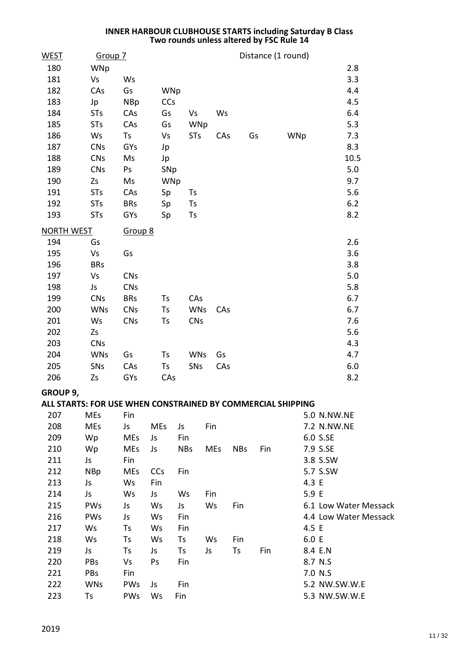#### **INNER HARBOUR CLUBHOUSE STARTS including Saturday B Class Two rounds unless altered by FSC Rule 14**

| <b>WEST</b>       | Group 7                                                     |            |            |            |            |            |     | Distance (1 round) |                       |  |
|-------------------|-------------------------------------------------------------|------------|------------|------------|------------|------------|-----|--------------------|-----------------------|--|
| 180               | WNp                                                         |            |            |            |            |            |     |                    | 2.8                   |  |
| 181               | Vs                                                          | Ws         |            |            |            |            |     |                    | 3.3                   |  |
| 182               | CAs                                                         | Gs         | WNp        |            |            |            |     |                    | 4.4                   |  |
| 183               | Jp                                                          | <b>NBp</b> | <b>CCs</b> |            |            |            |     |                    | 4.5                   |  |
| 184               | <b>STs</b>                                                  | CAs        | Gs         | Vs         |            | Ws         |     |                    | 6.4                   |  |
| 185               | <b>STs</b>                                                  | CAs        | Gs         | WNp        |            |            |     |                    | 5.3                   |  |
| 186               | Ws                                                          | Ts         | Vs         | <b>STs</b> |            | CAs        | Gs  | WNp                | 7.3                   |  |
| 187               | <b>CNs</b>                                                  | GYs        | Jp         |            |            |            |     |                    | 8.3                   |  |
| 188               | <b>CNs</b>                                                  | Ms         | Jp         |            |            |            |     |                    | 10.5                  |  |
| 189               | <b>CNs</b>                                                  | Ps         | SNp        |            |            |            |     |                    | 5.0                   |  |
| 190               | Zs                                                          | Ms         | WNp        |            |            |            |     |                    | 9.7                   |  |
| 191               | <b>STs</b>                                                  | CAs        | Sp         | Ts         |            |            |     |                    | 5.6                   |  |
| 192               | <b>STs</b>                                                  | <b>BRs</b> | Sp         | Ts         |            |            |     |                    | 6.2                   |  |
| 193               | <b>STs</b>                                                  | GYs        | Sp         | Ts         |            |            |     |                    | 8.2                   |  |
| <b>NORTH WEST</b> |                                                             | Group 8    |            |            |            |            |     |                    |                       |  |
| 194               | Gs                                                          |            |            |            |            |            |     |                    | 2.6                   |  |
| 195               | Vs                                                          | Gs         |            |            |            |            |     |                    | 3.6                   |  |
| 196               | <b>BRs</b>                                                  |            |            |            |            |            |     |                    | 3.8                   |  |
| 197               | Vs                                                          | <b>CNs</b> |            |            |            |            |     |                    | 5.0                   |  |
| 198               | Js                                                          | <b>CNs</b> |            |            |            |            |     |                    | 5.8                   |  |
| 199               | <b>CNs</b>                                                  | <b>BRs</b> | Ts         | CAs        |            |            |     |                    | 6.7                   |  |
| 200               | <b>WNs</b>                                                  | <b>CNs</b> | Ts         | <b>WNs</b> |            | CAs        |     |                    | 6.7                   |  |
| 201               | Ws                                                          | <b>CNs</b> | Ts         | <b>CNs</b> |            |            |     |                    | 7.6                   |  |
| 202               | Zs                                                          |            |            |            |            |            |     |                    | 5.6                   |  |
| 203               | <b>CNs</b>                                                  |            |            |            |            |            |     |                    | 4.3                   |  |
| 204               | <b>WNs</b>                                                  | Gs         | Ts         | <b>WNs</b> | Gs         |            |     |                    | 4.7                   |  |
| 205               | SNs                                                         | CAs        | Ts         | SNs        |            | CAs        |     |                    | 6.0                   |  |
| 206               | Zs                                                          | GYs        | CAs        |            |            |            |     |                    | 8.2                   |  |
| GROUP 9,          |                                                             |            |            |            |            |            |     |                    |                       |  |
|                   | ALL STARTS: FOR USE WHEN CONSTRAINED BY COMMERCIAL SHIPPING |            |            |            |            |            |     |                    |                       |  |
| 207               | <b>MEs</b>                                                  | Fin        |            |            |            |            |     |                    | 5.0 N.NW.NE           |  |
| 208               | <b>MEs</b>                                                  | Js         | <b>MEs</b> | Js         | Fin        |            |     |                    | 7.2 N.NW.NE           |  |
| 209               | Wp                                                          | <b>MEs</b> | Js         | Fin        |            |            |     | 6.0 S.SE           |                       |  |
| 210               | Wp                                                          | <b>MEs</b> | Js         | <b>NBs</b> | <b>MEs</b> | <b>NBs</b> | Fin | 7.9 S.SE           |                       |  |
| 211               | Js                                                          | Fin        |            |            |            |            |     | 3.8 S.SW           |                       |  |
| 212               | <b>NBp</b>                                                  | <b>MEs</b> | <b>CCs</b> | Fin        |            |            |     | 5.7 S.SW           |                       |  |
| 213               | Js                                                          | Ws         | Fin        |            |            |            |     | 4.3 E              |                       |  |
| 214               | Js                                                          | Ws         | Js         | Ws         | Fin        |            |     | 5.9 E              |                       |  |
| 215               | PWs                                                         | Js         | Ws         | Js         | Ws         | Fin        |     |                    | 6.1 Low Water Messack |  |
| 216               | <b>PWs</b>                                                  | Js         | Ws         | Fin        |            |            |     |                    | 4.4 Low Water Messack |  |

217 Ws Ts Ws Fin 217 4.5 E Ws Ts Ws Ts Ws Fin 6.0 E 219 Js Ts Js Ts Js Ts Fin 8.4 E.N 220 PBs Vs Ps Fin 8.7 N.S 221 PBs Fin 7.0 N.S

222 WNs PWs Js Fin 5.2 NW.SW.W.E 223 Ts PWs Ws Fin 5.3 NW.SW.W.E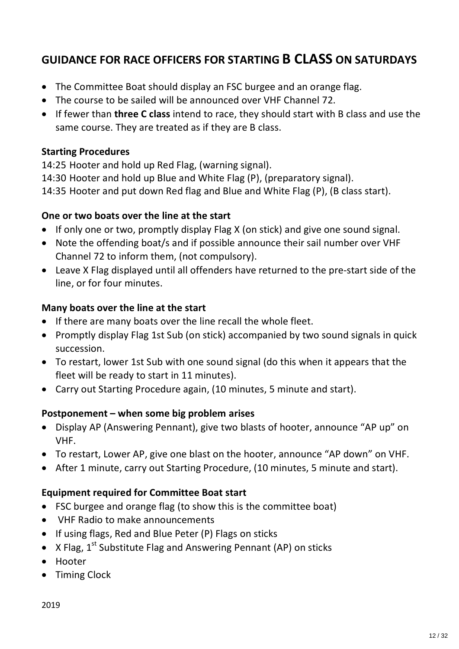# **GUIDANCE FOR RACE OFFICERS FOR STARTING B CLASS ON SATURDAYS**

- The Committee Boat should display an FSC burgee and an orange flag.
- · The course to be sailed will be announced over VHF Channel 72.
- · If fewer than **three C class** intend to race, they should start with B class and use the same course. They are treated as if they are B class.

## **Starting Procedures**

14:25 Hooter and hold up Red Flag, (warning signal).

14:30 Hooter and hold up Blue and White Flag (P), (preparatory signal).

14:35 Hooter and put down Red flag and Blue and White Flag (P), (B class start).

## **One or two boats over the line at the start**

- · If only one or two, promptly display Flag X (on stick) and give one sound signal.
- · Note the offending boat/s and if possible announce their sail number over VHF Channel 72 to inform them, (not compulsory).
- · Leave X Flag displayed until all offenders have returned to the pre-start side of the line, or for four minutes.

## **Many boats over the line at the start**

- · If there are many boats over the line recall the whole fleet.
- · Promptly display Flag 1st Sub (on stick) accompanied by two sound signals in quick succession.
- · To restart, lower 1st Sub with one sound signal (do this when it appears that the fleet will be ready to start in 11 minutes).
- · Carry out Starting Procedure again, (10 minutes, 5 minute and start).

## **Postponement – when some big problem arises**

- · Display AP (Answering Pennant), give two blasts of hooter, announce "AP up" on VHF.
- · To restart, Lower AP, give one blast on the hooter, announce "AP down" on VHF.
- · After 1 minute, carry out Starting Procedure, (10 minutes, 5 minute and start).

## **Equipment required for Committee Boat start**

- · FSC burgee and orange flag (to show this is the committee boat)
- · VHF Radio to make announcements
- · If using flags, Red and Blue Peter (P) Flags on sticks
- X Flag,  $1^{st}$  Substitute Flag and Answering Pennant (AP) on sticks
- · Hooter
- Timing Clock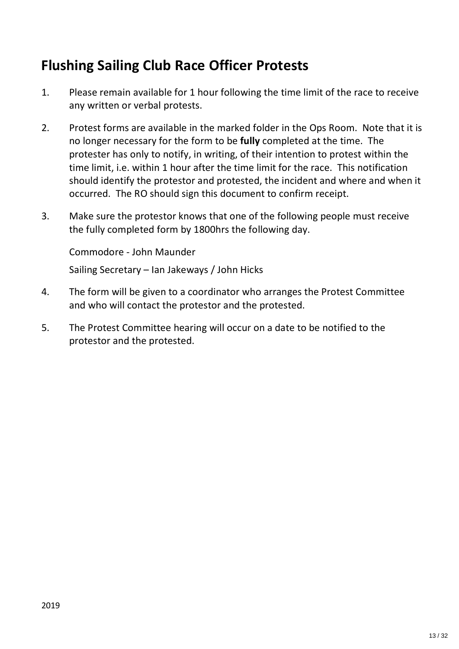# **Flushing Sailing Club Race Officer Protests**

- 1. Please remain available for 1 hour following the time limit of the race to receive any written or verbal protests.
- 2. Protest forms are available in the marked folder in the Ops Room. Note that it is no longer necessary for the form to be **fully** completed at the time. The protester has only to notify, in writing, of their intention to protest within the time limit, i.e. within 1 hour after the time limit for the race. This notification should identify the protestor and protested, the incident and where and when it occurred. The RO should sign this document to confirm receipt.
- 3. Make sure the protestor knows that one of the following people must receive the fully completed form by 1800hrs the following day.

Commodore - John Maunder

Sailing Secretary – Ian Jakeways / John Hicks

- 4. The form will be given to a coordinator who arranges the Protest Committee and who will contact the protestor and the protested.
- 5. The Protest Committee hearing will occur on a date to be notified to the protestor and the protested.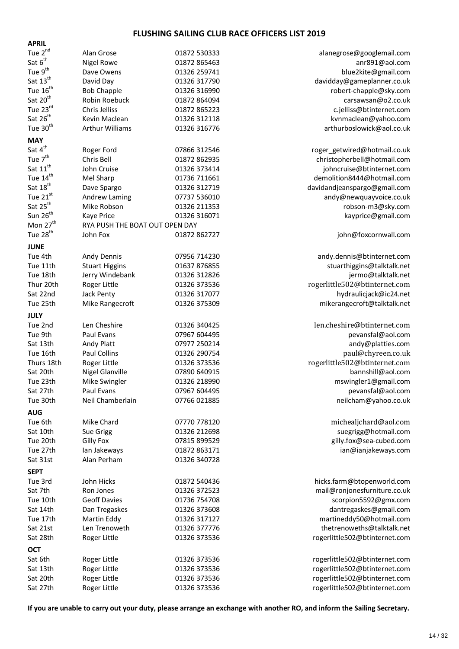#### **FLUSHING SAILING CLUB RACE OFFICERS LIST 2019**

| <b>APRIL</b>         |                                |              |                               |
|----------------------|--------------------------------|--------------|-------------------------------|
| Tue $2^{nd}$         | Alan Grose                     | 01872 530333 | alanegrose@googlemail.com     |
| Sat $6^{th}$         | <b>Nigel Rowe</b>              | 01872 865463 | anr891@aol.com                |
| Tue $9^{th}$         | Dave Owens                     | 01326 259741 | blue2kite@gmail.com           |
| Sat $13^{th}$        | David Day                      | 01326 317790 | davidday@gameplanner.co.uk    |
| Tue $16^{th}$        | <b>Bob Chapple</b>             | 01326 316990 | robert-chapple@sky.com        |
| Sat $20th$           | Robin Roebuck                  | 01872 864094 | carsawsan@o2.co.uk            |
| Tue 23rd             | Chris Jelliss                  | 01872 865223 | c.jelliss@btinternet.com      |
| Sat $26^{th}$        | Kevin Maclean                  | 01326 312118 | kvnmaclean@yahoo.com          |
| Tue 30 <sup>th</sup> | <b>Arthur Williams</b>         | 01326 316776 | arthurboslowick@aol.co.uk     |
| <b>MAY</b>           |                                |              |                               |
| Sat $4^{\text{th}}$  | Roger Ford                     | 07866 312546 | roger_getwired@hotmail.co.uk  |
| Tue 7 <sup>th</sup>  | Chris Bell                     | 01872 862935 | christopherbell@hotmail.com   |
| Sat $11^{\text{th}}$ | John Cruise                    | 01326 373414 | johncruise@btinternet.com     |
| Tue 14 <sup>th</sup> | Mel Sharp                      | 01736 711661 | demolition8444@hotmail.com    |
| Sat $18^{th}$        | Dave Spargo                    | 01326 312719 | davidandjeanspargo@gmail.com  |
| Tue 21st             | Andrew Laming                  | 07737 536010 | andy@newquayvoice.co.uk       |
| Sat 25 <sup>th</sup> | Mike Robson                    | 01326 211353 | robson-m3@sky.com             |
| Sun $26^{th}$        | Kaye Price                     | 01326 316071 | kayprice@gmail.com            |
| Mon 27 <sup>th</sup> | RYA PUSH THE BOAT OUT OPEN DAY |              |                               |
| Tue 28 <sup>th</sup> | John Fox                       | 01872 862727 | john@foxcornwall.com          |
| <b>JUNE</b>          |                                |              |                               |
| Tue 4th              | Andy Dennis                    | 07956 714230 | andy.dennis@btinternet.com    |
| Tue 11th             | <b>Stuart Higgins</b>          | 01637 876855 | stuarthiggins@talktalk.net    |
| Tue 18th             | Jerry Windebank                | 01326 312826 | jermo@talktalk.net            |
| Thur 20th            | Roger Little                   | 01326 373536 | rogerlittle502@btinternet.com |
| Sat 22nd             | Jack Penty                     | 01326 317077 | hydraulicjack@ic24.net        |
| Tue 25th             | Mike Rangecroft                | 01326 375309 | mikerangecroft@talktalk.net   |
| <b>JULY</b>          |                                |              |                               |
| Tue 2nd              | Len Cheshire                   | 01326 340425 | len.cheshire@btinternet.com   |
| Tue 9th              | Paul Evans                     | 07967 604495 | pevansfal@aol.com             |
| Sat 13th             | Andy Platt                     | 07977 250214 | andy@platties.com             |
| Tue 16th             | Paul Collins                   | 01326 290754 | paul@chyreen.co.uk            |
| Thurs 18th           | Roger Little                   | 01326 373536 | rogerlittle502@btinternet.com |
| Sat 20th             | <b>Nigel Glanville</b>         | 07890 640915 | bannshill@aol.com             |
| Tue 23th             | Mike Swingler                  | 01326 218990 | mswingler1@gmail.com          |
| Sat 27th             | Paul Evans                     | 07967 604495 | pevansfal@aol.com             |
| Tue 30th             | Neil Chamberlain               | 07766 021885 | neilcham@yahoo.co.uk          |
| <b>AUG</b>           |                                |              |                               |
| Tue 6th              | Mike Chard                     | 07770 778120 | michealjchard@aol.com         |
| Sat 10th             | Sue Grigg                      | 01326 212698 | suegrigg@hotmail.com          |
| Tue 20th             | <b>Gilly Fox</b>               | 07815 899529 | gilly.fox@sea-cubed.com       |
| Tue 27th             | lan Jakeways                   | 01872 863171 | ian@ianjakeways.com           |
| Sat 31st             | Alan Perham                    | 01326 340728 |                               |
| <b>SEPT</b>          |                                |              |                               |
| Tue 3rd              | John Hicks                     | 01872 540436 | hicks.farm@btopenworld.com    |
| Sat 7th              | Ron Jones                      | 01326 372523 | mail@ronjonesfurniture.co.uk  |
| Tue 10th             | <b>Geoff Davies</b>            | 01736 754708 | scorpion5592@gmx.com          |
| Sat 14th             | Dan Tregaskes                  | 01326 373608 | dantregaskes@gmail.com        |
| Tue 17th             | Martin Eddy                    | 01326 317127 | martineddy50@hotmail.com      |
| Sat 21st             | Len Trenoweth                  | 01326 377776 | thetrenoweths@talktalk.net    |
| Sat 28th             | Roger Little                   | 01326 373536 | rogerlittle502@btinternet.com |
| <b>OCT</b>           |                                |              |                               |
| Sat 6th              | Roger Little                   | 01326 373536 | rogerlittle502@btinternet.com |
| Sat 13th             | Roger Little                   | 01326 373536 | rogerlittle502@btinternet.com |
| Sat 20th             | Roger Little                   | 01326 373536 | rogerlittle502@btinternet.com |
| Sat 27th             | Roger Little                   | 01326 373536 | rogerlittle502@btinternet.com |
|                      |                                |              |                               |

**If you are unable to carry out your duty, please arrange an exchange with another RO, and inform the Sailing Secretary.**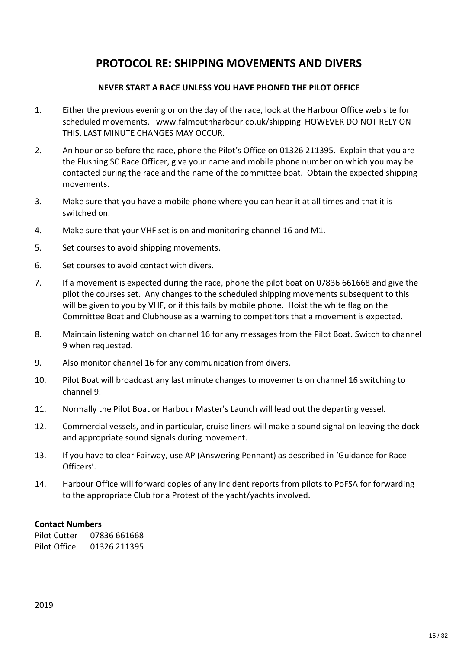# **PROTOCOL RE: SHIPPING MOVEMENTS AND DIVERS**

#### **NEVER START A RACE UNLESS YOU HAVE PHONED THE PILOT OFFICE**

- 1. Either the previous evening or on the day of the race, look at the Harbour Office web site for scheduled movements. www.falmouthharbour.co.uk/shipping HOWEVER DO NOT RELY ON THIS, LAST MINUTE CHANGES MAY OCCUR.
- 2. An hour or so before the race, phone the Pilot's Office on 01326 211395. Explain that you are the Flushing SC Race Officer, give your name and mobile phone number on which you may be contacted during the race and the name of the committee boat. Obtain the expected shipping movements.
- 3. Make sure that you have a mobile phone where you can hear it at all times and that it is switched on.
- 4. Make sure that your VHF set is on and monitoring channel 16 and M1.
- 5. Set courses to avoid shipping movements.
- 6. Set courses to avoid contact with divers.
- 7. If a movement is expected during the race, phone the pilot boat on 07836 661668 and give the pilot the courses set. Any changes to the scheduled shipping movements subsequent to this will be given to you by VHF, or if this fails by mobile phone. Hoist the white flag on the Committee Boat and Clubhouse as a warning to competitors that a movement is expected.
- 8. Maintain listening watch on channel 16 for any messages from the Pilot Boat. Switch to channel 9 when requested.
- 9. Also monitor channel 16 for any communication from divers.
- 10. Pilot Boat will broadcast any last minute changes to movements on channel 16 switching to channel 9.
- 11. Normally the Pilot Boat or Harbour Master's Launch will lead out the departing vessel.
- 12. Commercial vessels, and in particular, cruise liners will make a sound signal on leaving the dock and appropriate sound signals during movement.
- 13. If you have to clear Fairway, use AP (Answering Pennant) as described in 'Guidance for Race Officers'.
- 14. Harbour Office will forward copies of any Incident reports from pilots to PoFSA for forwarding to the appropriate Club for a Protest of the yacht/yachts involved.

#### **Contact Numbers**

Pilot Cutter 07836 661668 Pilot Office 01326 211395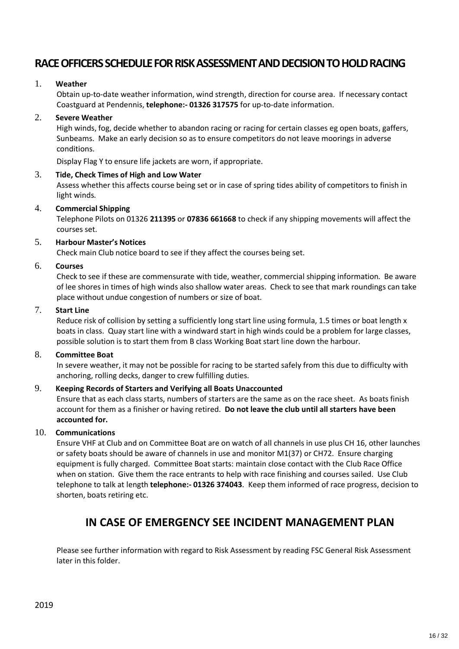## **RACE OFFICERS SCHEDULE FOR RISK ASSESSMENT AND DECISION TO HOLD RACING**

#### 1. **Weather**

Obtain up-to-date weather information, wind strength, direction for course area. If necessary contact Coastguard at Pendennis, **telephone:- 01326 317575** for up-to-date information.

#### 2. **Severe Weather**

High winds, fog, decide whether to abandon racing or racing for certain classes eg open boats, gaffers, Sunbeams. Make an early decision so as to ensure competitors do not leave moorings in adverse conditions.

Display Flag Y to ensure life jackets are worn, if appropriate.

#### 3. **Tide, Check Times of High and Low Water**

Assess whether this affects course being set or in case of spring tides ability of competitors to finish in light winds.

#### 4. **Commercial Shipping**

Telephone Pilots on 01326 **211395** or **07836 661668** to check if any shipping movements will affect the courses set.

#### 5. **Harbour Master's Notices**

Check main Club notice board to see if they affect the courses being set.

#### 6. **Courses**

Check to see if these are commensurate with tide, weather, commercial shipping information. Be aware of lee shores in times of high winds also shallow water areas. Check to see that mark roundings can take place without undue congestion of numbers or size of boat.

#### 7. **Start Line**

Reduce risk of collision by setting a sufficiently long start line using formula, 1.5 times or boat length x boats in class. Quay start line with a windward start in high winds could be a problem for large classes, possible solution is to start them from B class Working Boat start line down the harbour.

#### 8. **Committee Boat**

In severe weather, it may not be possible for racing to be started safely from this due to difficulty with anchoring, rolling decks, danger to crew fulfilling duties.

#### 9. **Keeping Records of Starters and Verifying all Boats Unaccounted**

Ensure that as each class starts, numbers of starters are the same as on the race sheet. As boats finish account for them as a finisher or having retired. **Do not leave the club until all starters have been accounted for.**

#### 10. **Communications**

Ensure VHF at Club and on Committee Boat are on watch of all channels in use plus CH 16, other launches or safety boats should be aware of channels in use and monitor M1(37) or CH72. Ensure charging equipment is fully charged. Committee Boat starts: maintain close contact with the Club Race Office when on station. Give them the race entrants to help with race finishing and courses sailed. Use Club telephone to talk at length **telephone:- 01326 374043**. Keep them informed of race progress, decision to shorten, boats retiring etc.

## **IN CASE OF EMERGENCY SEE INCIDENT MANAGEMENT PLAN**

Please see further information with regard to Risk Assessment by reading FSC General Risk Assessment later in this folder.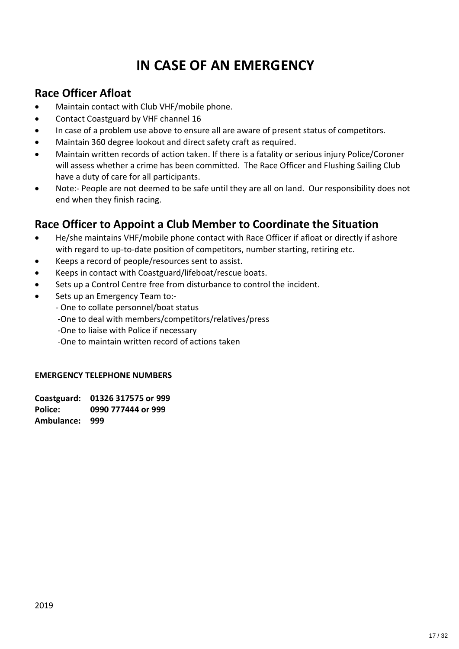# **IN CASE OF AN EMERGENCY**

# **Race Officer Afloat**

- · Maintain contact with Club VHF/mobile phone.
- · Contact Coastguard by VHF channel 16
- In case of a problem use above to ensure all are aware of present status of competitors.
- Maintain 360 degree lookout and direct safety craft as required.
- · Maintain written records of action taken. If there is a fatality or serious injury Police/Coroner will assess whether a crime has been committed. The Race Officer and Flushing Sailing Club have a duty of care for all participants.
- · Note:- People are not deemed to be safe until they are all on land. Our responsibility does not end when they finish racing.

# **Race Officer to Appoint a Club Member to Coordinate the Situation**

- · He/she maintains VHF/mobile phone contact with Race Officer if afloat or directly if ashore with regard to up-to-date position of competitors, number starting, retiring etc.
- · Keeps a record of people/resources sent to assist.
- · Keeps in contact with Coastguard/lifeboat/rescue boats.
- Sets up a Control Centre free from disturbance to control the incident.
- · Sets up an Emergency Team to:-
	- One to collate personnel/boat status
	- -One to deal with members/competitors/relatives/press
	- -One to liaise with Police if necessary
	- -One to maintain written record of actions taken

#### **EMERGENCY TELEPHONE NUMBERS**

**Coastguard: 01326 317575 or 999 Police: 0990 777444 or 999 Ambulance: 999**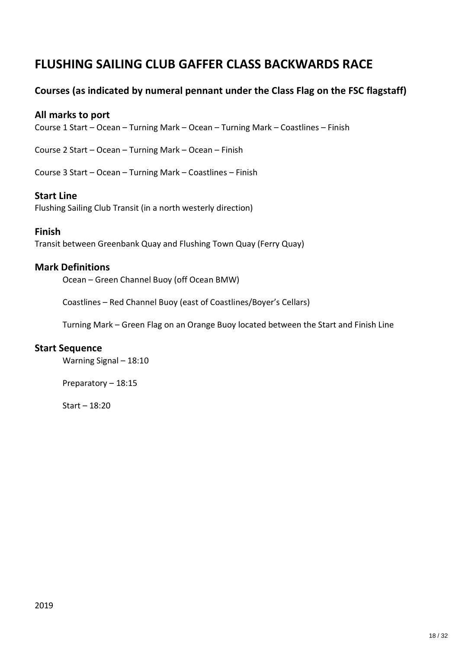# **FLUSHING SAILING CLUB GAFFER CLASS BACKWARDS RACE**

## **Courses (as indicated by numeral pennant under the Class Flag on the FSC flagstaff)**

### **All marks to port**

Course 1 Start – Ocean – Turning Mark – Ocean – Turning Mark – Coastlines – Finish

Course 2 Start – Ocean – Turning Mark – Ocean – Finish

Course 3 Start – Ocean – Turning Mark – Coastlines – Finish

#### **Start Line**

Flushing Sailing Club Transit (in a north westerly direction)

#### **Finish**

Transit between Greenbank Quay and Flushing Town Quay (Ferry Quay)

## **Mark Definitions**

Ocean – Green Channel Buoy (off Ocean BMW)

Coastlines – Red Channel Buoy (east of Coastlines/Boyer's Cellars)

Turning Mark – Green Flag on an Orange Buoy located between the Start and Finish Line

#### **Start Sequence**

Warning Signal – 18:10

Preparatory – 18:15

Start – 18:20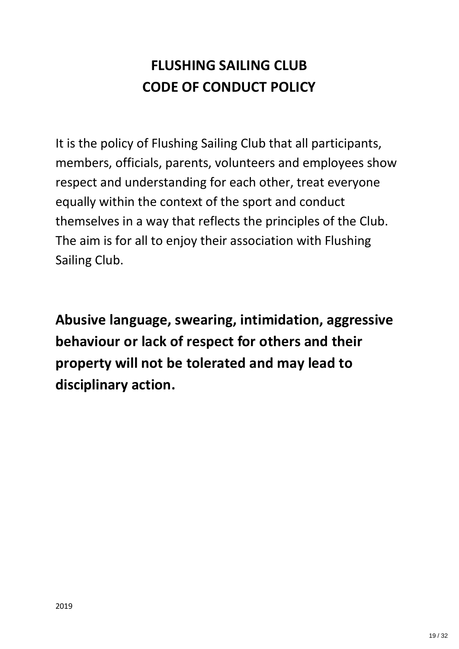# **FLUSHING SAILING CLUB CODE OF CONDUCT POLICY**

It is the policy of Flushing Sailing Club that all participants, members, officials, parents, volunteers and employees show respect and understanding for each other, treat everyone equally within the context of the sport and conduct themselves in a way that reflects the principles of the Club. The aim is for all to enjoy their association with Flushing Sailing Club.

**Abusive language, swearing, intimidation, aggressive behaviour or lack of respect for others and their property will not be tolerated and may lead to disciplinary action.**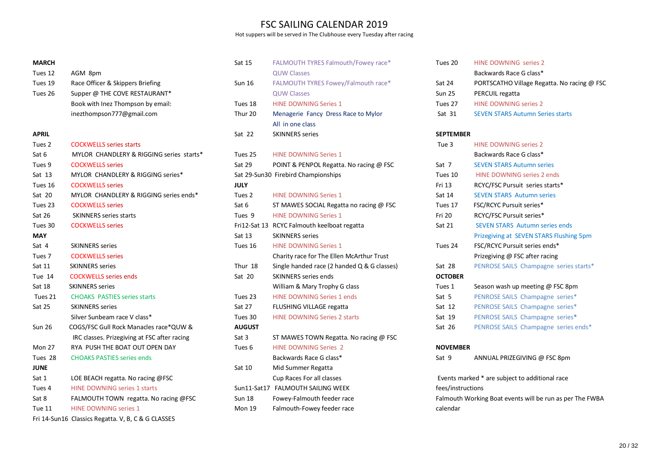### FSC SAILING CALENDAR 2019

Hot suppers will be served in The Clubhouse every Tuesday after racing

| <b>MARCH</b>      |                                              | Sat 15            |
|-------------------|----------------------------------------------|-------------------|
| Tues 12           | AGM 8pm                                      |                   |
| Tues 19           | Race Officer & Skippers Briefing             | Sun 16            |
| Tues 26           | Supper @ THE COVE RESTAURANT*                |                   |
|                   | Book with Inez Thompson by email:            | Tues 18           |
|                   | inezthompson777@gmail.com                    | Thur 20           |
| <b>APRIL</b>      |                                              | Sat 22            |
| Tues <sub>2</sub> | <b>COCKWELLS</b> series starts               |                   |
| Sat 6             | MYLOR CHANDLERY & RIGGING series starts*     | Tues 25           |
| Tues 9            | <b>COCKWELLS</b> series                      | Sat 29            |
| Sat $13$          | MYLOR CHANDLERY & RIGGING series*            | Sat 29-S          |
| Tues 16           | <b>COCKWELLS</b> series                      | <b>JULY</b>       |
| Sat $20$          | MYLOR CHANDLERY & RIGGING series ends*       | Tues <sub>2</sub> |
| Tues 23           | <b>COCKWELLS series</b>                      | Sat 6             |
| <b>Sat 26</b>     | <b>SKINNERS</b> series starts                | Tues 9            |
| Tues 30           | <b>COCKWELLS</b> series                      | Fri12-Sat         |
| <b>MAY</b>        |                                              | Sat 13            |
| Sat 4             | <b>SKINNERS</b> series                       | Tues 16           |
| Tues <sub>7</sub> | <b>COCKWELLS</b> series                      |                   |
| Sat 11            | <b>SKINNERS</b> series                       | Thur 18           |
| Tue 14            | <b>COCKWELLS</b> series ends                 | Sat 20            |
| Sat 18            | <b>SKINNERS</b> series                       |                   |
| Tues 21           | <b>CHOAKS PASTIES series starts</b>          | Tues 23           |
| <b>Sat 25</b>     | <b>SKINNERS</b> series                       | Sat 27            |
|                   | Silver Sunbeam race V class*                 | Tues 30           |
| <b>Sun 26</b>     | COGS/FSC Gull Rock Manacles race*QUW &       | <b>AUGUST</b>     |
|                   | IRC classes. Prizegiving at FSC after racing | Sat 3             |
| <b>Mon 27</b>     | RYA PUSH THE BOAT OUT OPEN DAY               | Tues 6            |
| Tues 28           | <b>CHOAKS PASTIES series ends</b>            |                   |
| <b>JUNE</b>       |                                              | Sat 10            |
| Sat 1             | LOE BEACH regatta. No racing @FSC            |                   |
| Tues 4            | <b>HINE DOWNING series 1 starts</b>          | Sun11-S           |
| Sat 8             | FALMOUTH TOWN regatta. No racing @FSC        | Sun 18            |
| Tue 11            | <b>HINE DOWNING series 1</b>                 | <b>Mon 19</b>     |

Fri 14-Sun16 Classics Regatta. V, B, C & G CLASSES

| Sat 15        | FALMOUTH TYRES Falmouth/Fowey race*         |
|---------------|---------------------------------------------|
|               | <b>QUW Classes</b>                          |
| <b>Sun 16</b> | FALMOUTH TYRES Fowey/Falmouth race*         |
|               | <b>QUW Classes</b>                          |
| Tues 18       | <b>HINE DOWNING Series 1</b>                |
| Thur 20       | Menagerie Fancy Dress Race to Mylor         |
|               | All in one class                            |
| Sat 22        | <b>SKINNERS</b> series                      |
|               |                                             |
| Tues 25       | <b>HINE DOWNING Series 1</b>                |
| <b>Sat 29</b> | POINT & PENPOL Regatta. No racing @ FSC     |
|               | Sat 29-Sun30 Firebird Championships         |
| <b>JULY</b>   |                                             |
| Tues 2        | <b>HINE DOWNING Series 1</b>                |
| Sat 6         | ST MAWES SOCIAL Regatta no racing @ FSC     |
| Tues 9        | <b>HINE DOWNING Series 1</b>                |
|               | Fri12-Sat 13 RCYC Falmouth keelboat regatta |
| Sat 13        | <b>SKINNERS</b> series                      |
| Tues 16       | <b>HINE DOWNING Series 1</b>                |
|               | Charity race for The Ellen McArthur Trust   |
| Thur 18       | Single handed race (2 handed Q & G classes) |
| Sat 20        | <b>SKINNERS</b> series ends                 |
|               | William & Mary Trophy G class               |
| Tues 23       | <b>HINE DOWNING Series 1 ends</b>           |
| <b>Sat 27</b> | <b>FLUSHING VILLAGE regatta</b>             |
| Tues 30       | <b>HINE DOWNING Series 2 starts</b>         |
| <b>AUGUST</b> |                                             |
| Sat 3         | ST MAWES TOWN Regatta. No racing @ FSC      |
| Tues 6        | <b>HINE DOWNING Series 2</b>                |
|               | Backwards Race G class*                     |
| Sat 10        | Mid Summer Regatta                          |
|               | Cup Races For all classes                   |
|               | Sun11-Sat17 FALMOUTH SAILING WEEK           |
| <b>Sun 18</b> | Fowey-Falmouth feeder race                  |
| <b>Mon 19</b> | Falmouth-Fowey feeder race                  |

| Tues 20 | HINE DOWNING series 2                       |
|---------|---------------------------------------------|
|         | Backwards Race G class*                     |
| Sat 24  | PORTSCATHO Village Regatta. No racing @ FSC |
| Sun 25  | PERCUIL regatta                             |
| Tues 27 | <b>HINE DOWNING series 2</b>                |
| Sat 31  | <b>SEVEN STARS Autumn Series starts</b>     |
|         |                                             |
|         |                                             |

#### **SEPTEMBER**

| Tue 3            | <b>HINE DOWNING series 2</b>            |
|------------------|-----------------------------------------|
|                  | Backwards Race G class*                 |
| Sat 7            | <b>SEVEN STARS Autumn series</b>        |
| Tues 10          | HINE DOWNING series 2 ends              |
| Fri 13           | RCYC/FSC Pursuit series starts*         |
| Sat 14           | <b>SEVEN STARS Autumn series</b>        |
| Tues 17          | FSC/RCYC Pursuit series*                |
| Fri 20           | RCYC/FSC Pursuit series*                |
| Sat 21           | <b>SEVEN STARS Autumn series ends</b>   |
|                  | Prizegiving at SEVEN STARS Flushing 5pm |
| Tues 24          | FSC/RCYC Pursuit series ends*           |
|                  | Prizegiving @ FSC after racing          |
| Sat 28           | PENROSE SAILS Champagne series starts*  |
| <b>OCTOBER</b>   |                                         |
| Tues 1           | Season wash up meeting @ FSC 8pm        |
| Sat 5            | PENROSE SAILS Champagne series*         |
| Sat 12           | PENROSE SAILS Champagne series*         |
| Sat 19           | PENROSE SAILS Champagne series*         |
| Sat 26           | PENROSE SAILS Champagne series ends*    |
|                  |                                         |
| <b>NIOVEMBED</b> |                                         |

#### **NOVEMBER**

Sat 9 ANNUAL PRIZEGIVING @ FSC 8pm

```
Events marked * are subject to additional race 
fees/instructions
Falmouth Working Boat events will be run as per The FWBA 
calendar
```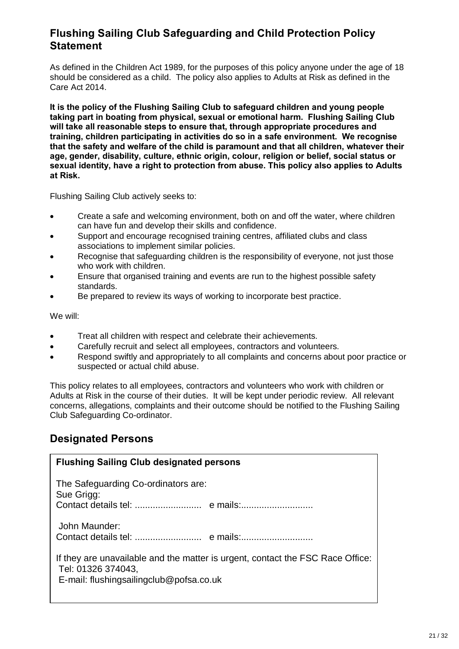## **Flushing Sailing Club Safeguarding and Child Protection Policy Statement**

As defined in the Children Act 1989, for the purposes of this policy anyone under the age of 18 should be considered as a child. The policy also applies to Adults at Risk as defined in the Care Act 2014.

**It is the policy of the Flushing Sailing Club to safeguard children and young people taking part in boating from physical, sexual or emotional harm. Flushing Sailing Club will take all reasonable steps to ensure that, through appropriate procedures and training, children participating in activities do so in a safe environment. We recognise that the safety and welfare of the child is paramount and that all children, whatever their age, gender, disability, culture, ethnic origin, colour, religion or belief, social status or sexual identity, have a right to protection from abuse. This policy also applies to Adults at Risk.**

Flushing Sailing Club actively seeks to:

- · Create a safe and welcoming environment, both on and off the water, where children can have fun and develop their skills and confidence.
- Support and encourage recognised training centres, affiliated clubs and class associations to implement similar policies.
- Recognise that safeguarding children is the responsibility of everyone, not just those who work with children.
- · Ensure that organised training and events are run to the highest possible safety standards.
- Be prepared to review its ways of working to incorporate best practice.

We will:

- · Treat all children with respect and celebrate their achievements.
- · Carefully recruit and select all employees, contractors and volunteers.
- · Respond swiftly and appropriately to all complaints and concerns about poor practice or suspected or actual child abuse.

This policy relates to all employees, contractors and volunteers who work with children or Adults at Risk in the course of their duties. It will be kept under periodic review. All relevant concerns, allegations, complaints and their outcome should be notified to the Flushing Sailing Club Safeguarding Co-ordinator.

## **Designated Persons**

| <b>Flushing Sailing Club designated persons</b>                                                                                                 |  |
|-------------------------------------------------------------------------------------------------------------------------------------------------|--|
| The Safeguarding Co-ordinators are:<br>Sue Grigg:                                                                                               |  |
| John Maunder:                                                                                                                                   |  |
| If they are unavailable and the matter is urgent, contact the FSC Race Office:<br>Tel: 01326 374043,<br>E-mail: flushingsailingclub@pofsa.co.uk |  |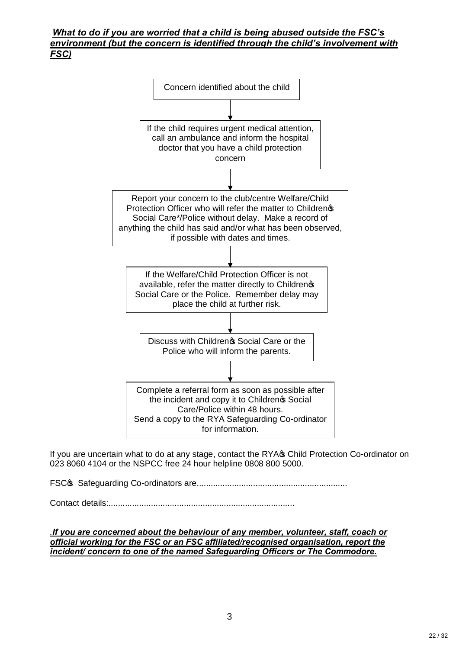#### *What to do if you are worried that a child is being abused outside the FSC's environment (but the concern is identified through the child's involvement with FSC)*



If you are uncertain what to do at any stage, contact the RYA<sub>S</sub> Child Protection Co-ordinator on 023 8060 4104 or the NSPCC free 24 hour helpline 0808 800 5000.

FSC's Safeguarding Co-ordinators are................................................................

Contact details:...............................................................................

*.If you are concerned about the behaviour of any member, volunteer, staff, coach or official working for the FSC or an FSC affiliated/recognised organisation, report the incident/ concern to one of the named Safeguarding Officers or The Commodore.*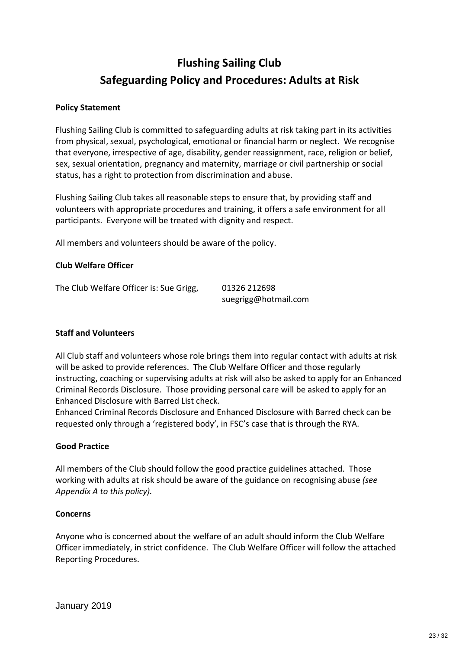# **Flushing Sailing Club Safeguarding Policy and Procedures: Adults at Risk**

#### **Policy Statement**

Flushing Sailing Club is committed to safeguarding adults at risk taking part in its activities from physical, sexual, psychological, emotional or financial harm or neglect. We recognise that everyone, irrespective of age, disability, gender reassignment, race, religion or belief, sex, sexual orientation, pregnancy and maternity, marriage or civil partnership or social status, has a right to protection from discrimination and abuse.

Flushing Sailing Club takes all reasonable steps to ensure that, by providing staff and volunteers with appropriate procedures and training, it offers a safe environment for all participants. Everyone will be treated with dignity and respect.

All members and volunteers should be aware of the policy.

#### **Club Welfare Officer**

The Club Welfare Officer is: Sue Grigg, 01326 212698

suegrigg@hotmail.com

#### **Staff and Volunteers**

All Club staff and volunteers whose role brings them into regular contact with adults at risk will be asked to provide references. The Club Welfare Officer and those regularly instructing, coaching or supervising adults at risk will also be asked to apply for an Enhanced Criminal Records Disclosure. Those providing personal care will be asked to apply for an Enhanced Disclosure with Barred List check.

Enhanced Criminal Records Disclosure and Enhanced Disclosure with Barred check can be requested only through a 'registered body', in FSC's case that is through the RYA.

#### **Good Practice**

All members of the Club should follow the good practice guidelines attached. Those working with adults at risk should be aware of the guidance on recognising abuse *(see Appendix A to this policy).*

#### **Concerns**

Anyone who is concerned about the welfare of an adult should inform the Club Welfare Officer immediately, in strict confidence. The Club Welfare Officer will follow the attached Reporting Procedures.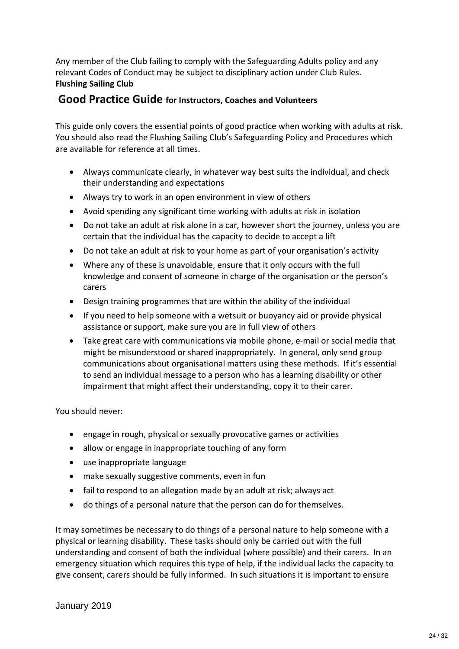Any member of the Club failing to comply with the Safeguarding Adults policy and any relevant Codes of Conduct may be subject to disciplinary action under Club Rules. **Flushing Sailing Club**

## **Good Practice Guide for Instructors, Coaches and Volunteers**

This guide only covers the essential points of good practice when working with adults at risk. You should also read the Flushing Sailing Club's Safeguarding Policy and Procedures which are available for reference at all times.

- · Always communicate clearly, in whatever way best suits the individual, and check their understanding and expectations
- · Always try to work in an open environment in view of others
- · Avoid spending any significant time working with adults at risk in isolation
- · Do not take an adult at risk alone in a car, however short the journey, unless you are certain that the individual has the capacity to decide to accept a lift
- · Do not take an adult at risk to your home as part of your organisation's activity
- · Where any of these is unavoidable, ensure that it only occurs with the full knowledge and consent of someone in charge of the organisation or the person's carers
- · Design training programmes that are within the ability of the individual
- · If you need to help someone with a wetsuit or buoyancy aid or provide physical assistance or support, make sure you are in full view of others
- · Take great care with communications via mobile phone, e-mail or social media that might be misunderstood or shared inappropriately. In general, only send group communications about organisational matters using these methods. If it's essential to send an individual message to a person who has a learning disability or other impairment that might affect their understanding, copy it to their carer.

You should never:

- · engage in rough, physical or sexually provocative games or activities
- allow or engage in inappropriate touching of any form
- · use inappropriate language
- make sexually suggestive comments, even in fun
- fail to respond to an allegation made by an adult at risk; always act
- · do things of a personal nature that the person can do for themselves.

It may sometimes be necessary to do things of a personal nature to help someone with a physical or learning disability. These tasks should only be carried out with the full understanding and consent of both the individual (where possible) and their carers. In an emergency situation which requires this type of help, if the individual lacks the capacity to give consent, carers should be fully informed. In such situations it is important to ensure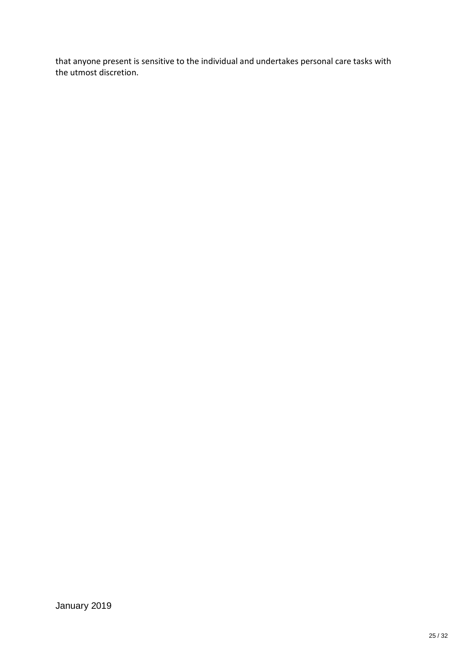that anyone present is sensitive to the individual and undertakes personal care tasks with the utmost discretion.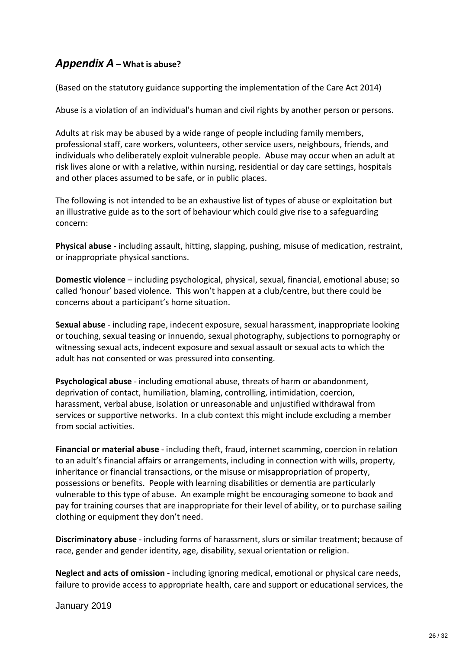## *Appendix A* **– What is abuse?**

(Based on the statutory guidance supporting the implementation of the Care Act 2014)

Abuse is a violation of an individual's human and civil rights by another person or persons.

Adults at risk may be abused by a wide range of people including family members, professional staff, care workers, volunteers, other service users, neighbours, friends, and individuals who deliberately exploit vulnerable people. Abuse may occur when an adult at risk lives alone or with a relative, within nursing, residential or day care settings, hospitals and other places assumed to be safe, or in public places.

The following is not intended to be an exhaustive list of types of abuse or exploitation but an illustrative guide as to the sort of behaviour which could give rise to a safeguarding concern:

**Physical abuse** - including assault, hitting, slapping, pushing, misuse of medication, restraint, or inappropriate physical sanctions.

**Domestic violence** – including psychological, physical, sexual, financial, emotional abuse; so called 'honour' based violence. This won't happen at a club/centre, but there could be concerns about a participant's home situation.

**Sexual abuse** - including rape, indecent exposure, sexual harassment, inappropriate looking or touching, sexual teasing or innuendo, sexual photography, subjections to pornography or witnessing sexual acts, indecent exposure and sexual assault or sexual acts to which the adult has not consented or was pressured into consenting.

**Psychological abuse** - including emotional abuse, threats of harm or abandonment, deprivation of contact, humiliation, blaming, controlling, intimidation, coercion, harassment, verbal abuse, isolation or unreasonable and unjustified withdrawal from services or supportive networks. In a club context this might include excluding a member from social activities.

**Financial or material abuse** - including theft, fraud, internet scamming, coercion in relation to an adult's financial affairs or arrangements, including in connection with wills, property, inheritance or financial transactions, or the misuse or misappropriation of property, possessions or benefits. People with learning disabilities or dementia are particularly vulnerable to this type of abuse. An example might be encouraging someone to book and pay for training courses that are inappropriate for their level of ability, or to purchase sailing clothing or equipment they don't need.

**Discriminatory abuse** - including forms of harassment, slurs or similar treatment; because of race, gender and gender identity, age, disability, sexual orientation or religion.

**Neglect and acts of omission** - including ignoring medical, emotional or physical care needs, failure to provide access to appropriate health, care and support or educational services, the

January 2019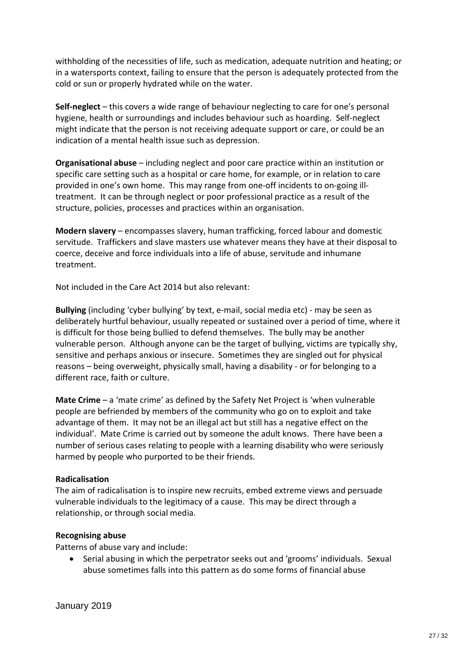withholding of the necessities of life, such as medication, adequate nutrition and heating; or in a watersports context, failing to ensure that the person is adequately protected from the cold or sun or properly hydrated while on the water.

**Self-neglect** – this covers a wide range of behaviour neglecting to care for one's personal hygiene, health or surroundings and includes behaviour such as hoarding. Self-neglect might indicate that the person is not receiving adequate support or care, or could be an indication of a mental health issue such as depression.

**Organisational abuse** – including neglect and poor care practice within an institution or specific care setting such as a hospital or care home, for example, or in relation to care provided in one's own home. This may range from one-off incidents to on-going illtreatment. It can be through neglect or poor professional practice as a result of the structure, policies, processes and practices within an organisation.

**Modern slavery** – encompasses slavery, human trafficking, forced labour and domestic servitude. Traffickers and slave masters use whatever means they have at their disposal to coerce, deceive and force individuals into a life of abuse, servitude and inhumane treatment.

Not included in the Care Act 2014 but also relevant:

**Bullying** (including 'cyber bullying' by text, e-mail, social media etc) - may be seen as deliberately hurtful behaviour, usually repeated or sustained over a period of time, where it is difficult for those being bullied to defend themselves. The bully may be another vulnerable person. Although anyone can be the target of bullying, victims are typically shy, sensitive and perhaps anxious or insecure. Sometimes they are singled out for physical reasons – being overweight, physically small, having a disability - or for belonging to a different race, faith or culture.

**Mate Crime** – a 'mate crime' as defined by the Safety Net Project is 'when vulnerable people are befriended by members of the community who go on to exploit and take advantage of them. It may not be an illegal act but still has a negative effect on the individual'. Mate Crime is carried out by someone the adult knows. There have been a number of serious cases relating to people with a learning disability who were seriously harmed by people who purported to be their friends.

#### **Radicalisation**

The aim of radicalisation is to inspire new recruits, embed extreme views and persuade vulnerable individuals to the legitimacy of a cause. This may be direct through a relationship, or through social media.

#### **Recognising abuse**

Patterns of abuse vary and include:

· Serial abusing in which the perpetrator seeks out and 'grooms' individuals. Sexual abuse sometimes falls into this pattern as do some forms of financial abuse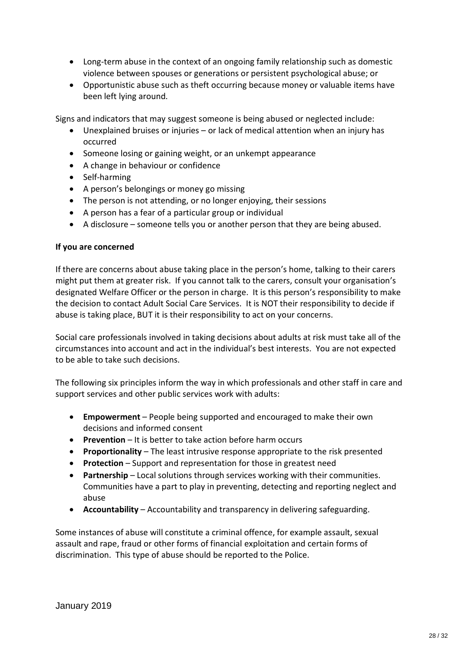- · Long-term abuse in the context of an ongoing family relationship such as domestic violence between spouses or generations or persistent psychological abuse; or
- · Opportunistic abuse such as theft occurring because money or valuable items have been left lying around.

Signs and indicators that may suggest someone is being abused or neglected include:

- Unexplained bruises or injuries or lack of medical attention when an injury has occurred
- Someone losing or gaining weight, or an unkempt appearance
- · A change in behaviour or confidence
- · Self-harming
- · A person's belongings or money go missing
- The person is not attending, or no longer enjoving, their sessions
- · A person has a fear of a particular group or individual
- · A disclosure someone tells you or another person that they are being abused.

#### **If you are concerned**

If there are concerns about abuse taking place in the person's home, talking to their carers might put them at greater risk. If you cannot talk to the carers, consult your organisation's designated Welfare Officer or the person in charge. It is this person's responsibility to make the decision to contact Adult Social Care Services. It is NOT their responsibility to decide if abuse is taking place, BUT it is their responsibility to act on your concerns.

Social care professionals involved in taking decisions about adults at risk must take all of the circumstances into account and act in the individual's best interests. You are not expected to be able to take such decisions.

The following six principles inform the way in which professionals and other staff in care and support services and other public services work with adults:

- · **Empowerment** People being supported and encouraged to make their own decisions and informed consent
- · **Prevention** It is better to take action before harm occurs
- · **Proportionality** The least intrusive response appropriate to the risk presented
- · **Protection** Support and representation for those in greatest need
- · **Partnership** Local solutions through services working with their communities. Communities have a part to play in preventing, detecting and reporting neglect and abuse
- · **Accountability** Accountability and transparency in delivering safeguarding.

Some instances of abuse will constitute a criminal offence, for example assault, sexual assault and rape, fraud or other forms of financial exploitation and certain forms of discrimination. This type of abuse should be reported to the Police.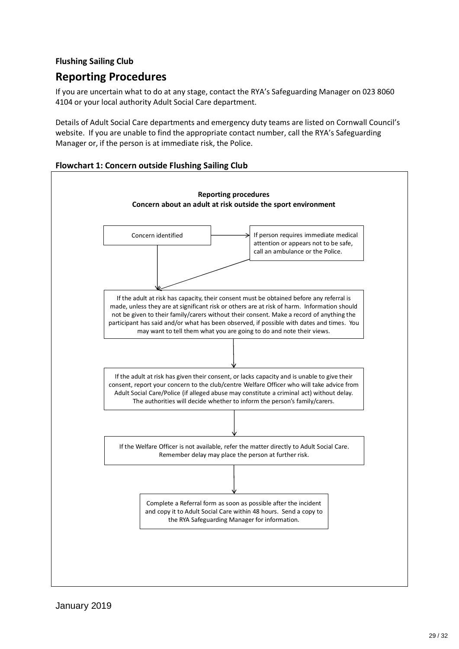## **Flushing Sailing Club**

# **Reporting Procedures**

If you are uncertain what to do at any stage, contact the RYA's Safeguarding Manager on 023 8060 4104 or your local authority Adult Social Care department.

Details of Adult Social Care departments and emergency duty teams are listed on Cornwall Council's website. If you are unable to find the appropriate contact number, call the RYA's Safeguarding Manager or, if the person is at immediate risk, the Police.



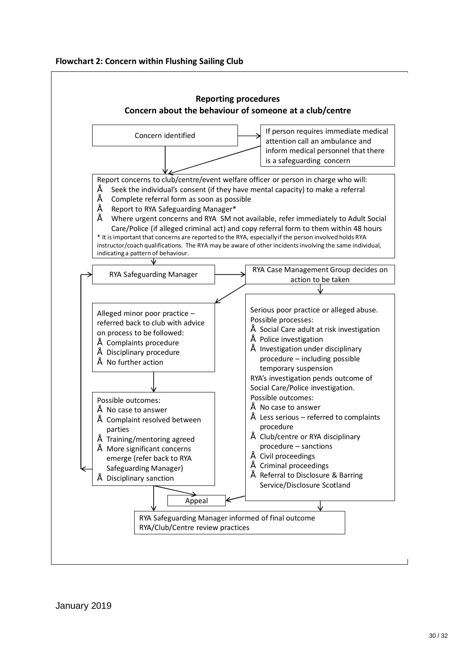

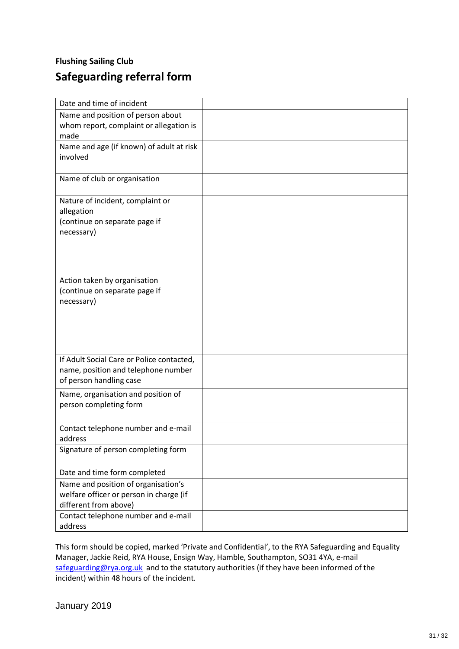# **Flushing Sailing Club Safeguarding referral form**

| Date and time of incident                 |  |
|-------------------------------------------|--|
| Name and position of person about         |  |
| whom report, complaint or allegation is   |  |
| made                                      |  |
| Name and age (if known) of adult at risk  |  |
| involved                                  |  |
| Name of club or organisation              |  |
|                                           |  |
| Nature of incident, complaint or          |  |
| allegation                                |  |
| (continue on separate page if             |  |
| necessary)                                |  |
|                                           |  |
|                                           |  |
|                                           |  |
| Action taken by organisation              |  |
| (continue on separate page if             |  |
| necessary)                                |  |
|                                           |  |
|                                           |  |
|                                           |  |
|                                           |  |
| If Adult Social Care or Police contacted, |  |
| name, position and telephone number       |  |
| of person handling case                   |  |
| Name, organisation and position of        |  |
| person completing form                    |  |
|                                           |  |
| Contact telephone number and e-mail       |  |
| address                                   |  |
| Signature of person completing form       |  |
| Date and time form completed              |  |
| Name and position of organisation's       |  |
| welfare officer or person in charge (if   |  |
| different from above)                     |  |
| Contact telephone number and e-mail       |  |
| address                                   |  |

This form should be copied, marked 'Private and Confidential', to the RYA Safeguarding and Equality Manager, Jackie Reid, RYA House, Ensign Way, Hamble, Southampton, SO31 4YA, e-mail safeguarding@rya.org.uk and to the statutory authorities (if they have been informed of the incident) within 48 hours of the incident.